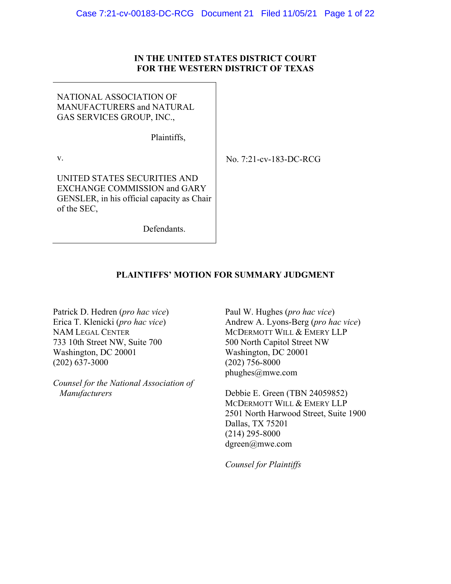### **IN THE UNITED STATES DISTRICT COURT FOR THE WESTERN DISTRICT OF TEXAS**

NATIONAL ASSOCIATION OF MANUFACTURERS and NATURAL GAS SERVICES GROUP, INC.,

Plaintiffs,

v.

No. 7:21-cv-183-DC-RCG

UNITED STATES SECURITIES AND EXCHANGE COMMISSION and GARY GENSLER, in his official capacity as Chair of the SEC,

Defendants.

## **PLAINTIFFS' MOTION FOR SUMMARY JUDGMENT**

Patrick D. Hedren (*pro hac vice*) Erica T. Klenicki (*pro hac vice*) NAM LEGAL CENTER 733 10th Street NW, Suite 700 Washington, DC 20001 (202) 637-3000

*Counsel for the National Association of Manufacturers*

Paul W. Hughes (*pro hac vice*) Andrew A. Lyons-Berg (*pro hac vice*) MCDERMOTT WILL & EMERY LLP 500 North Capitol Street NW Washington, DC 20001 (202) 756-8000 phughes@mwe.com

Debbie E. Green (TBN 24059852) MCDERMOTT WILL & EMERY LLP 2501 North Harwood Street, Suite 1900 Dallas, TX 75201 (214) 295-8000 dgreen@mwe.com

*Counsel for Plaintiffs*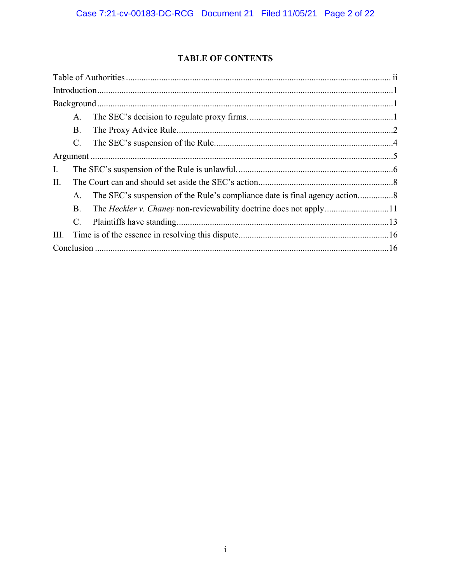## **TABLE OF CONTENTS**

|      | A.             |                                                                   |  |  |  |
|------|----------------|-------------------------------------------------------------------|--|--|--|
|      | <b>B.</b>      |                                                                   |  |  |  |
|      | $\mathbf{C}$ . |                                                                   |  |  |  |
|      |                |                                                                   |  |  |  |
| Ι.   |                |                                                                   |  |  |  |
| П.   |                |                                                                   |  |  |  |
|      | A.             |                                                                   |  |  |  |
|      | <b>B.</b>      | The Heckler v. Chaney non-reviewability doctrine does not apply11 |  |  |  |
|      | $C_{\cdot}$    |                                                                   |  |  |  |
| III. |                |                                                                   |  |  |  |
|      |                |                                                                   |  |  |  |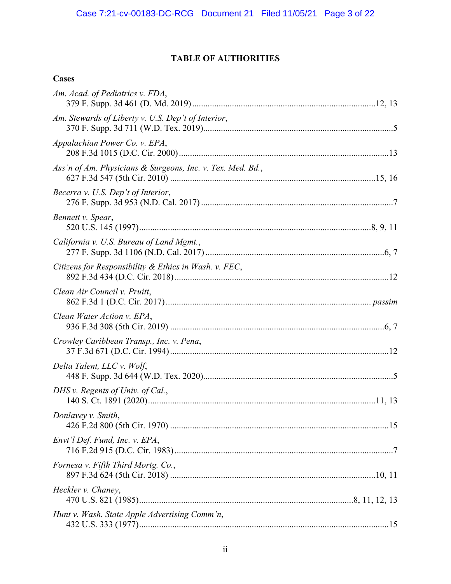# **TABLE OF AUTHORITIES**

# **Cases**

| Am. Acad. of Pediatrics v. FDA,                            |  |
|------------------------------------------------------------|--|
| Am. Stewards of Liberty v. U.S. Dep't of Interior,         |  |
| Appalachian Power Co. v. EPA,                              |  |
| Ass'n of Am. Physicians & Surgeons, Inc. v. Tex. Med. Bd., |  |
| Becerra v. U.S. Dep't of Interior,                         |  |
| Bennett v. Spear,                                          |  |
| California v. U.S. Bureau of Land Mgmt.,                   |  |
| Citizens for Responsibility & Ethics in Wash. v. FEC,      |  |
| Clean Air Council v. Pruitt,                               |  |
| Clean Water Action v. EPA,                                 |  |
| Crowley Caribbean Transp., Inc. v. Pena,                   |  |
| Delta Talent, LLC v. Wolf,                                 |  |
| DHS v. Regents of Univ. of Cal.,                           |  |
| Donlavey v. Smith,                                         |  |
| Envt'l Def. Fund, Inc. v. EPA,                             |  |
| Fornesa v. Fifth Third Mortg. Co.,                         |  |
| Heckler v. Chaney,                                         |  |
| Hunt v. Wash. State Apple Advertising Comm'n,              |  |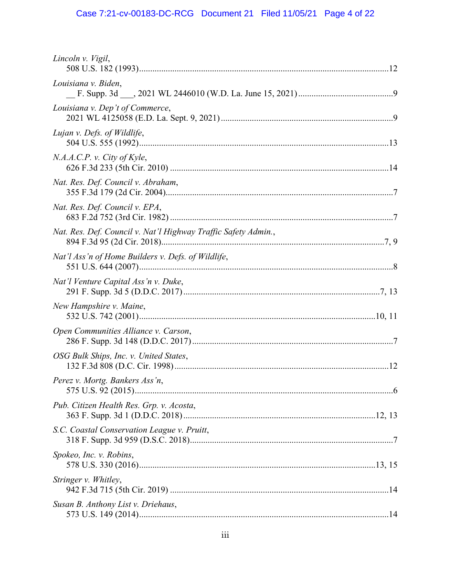# Case 7:21-cv-00183-DC-RCG Document 21 Filed 11/05/21 Page 4 of 22

| Lincoln v. Vigil,                                              |
|----------------------------------------------------------------|
| Louisiana v. Biden,                                            |
| Louisiana v. Dep't of Commerce,                                |
| Lujan v. Defs. of Wildlife,                                    |
| N.A.A.C.P. v. City of Kyle,                                    |
| Nat. Res. Def. Council v. Abraham,                             |
| Nat. Res. Def. Council v. EPA,                                 |
| Nat. Res. Def. Council v. Nat'l Highway Traffic Safety Admin., |
| Nat'l Ass'n of Home Builders v. Defs. of Wildlife,             |
| Nat'l Venture Capital Ass'n v. Duke,                           |
| New Hampshire v. Maine,                                        |
| Open Communities Alliance v. Carson,                           |
| OSG Bulk Ships, Inc. v. United States,                         |
| Perez v. Mortg. Bankers Ass'n,                                 |
| Pub. Citizen Health Res. Grp. v. Acosta,                       |
| S.C. Coastal Conservation League v. Pruitt,                    |
| Spokeo, Inc. v. Robins,                                        |
| Stringer v. Whitley,                                           |
| Susan B. Anthony List v. Driehaus,                             |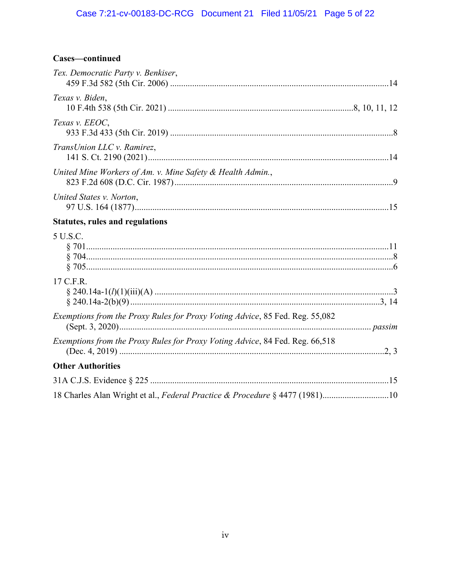## Cases-continued

| Tex. Democratic Party v. Benkiser,                                           |  |
|------------------------------------------------------------------------------|--|
| Texas v. Biden,                                                              |  |
| Texas v. EEOC.                                                               |  |
| TransUnion LLC v. Ramirez,                                                   |  |
| United Mine Workers of Am. v. Mine Safety & Health Admin.,                   |  |
| United States v. Norton,                                                     |  |
| <b>Statutes, rules and regulations</b>                                       |  |
| 5 U.S.C.                                                                     |  |
| 17 C.F.R.                                                                    |  |
| Exemptions from the Proxy Rules for Proxy Voting Advice, 85 Fed. Reg. 55,082 |  |
| Exemptions from the Proxy Rules for Proxy Voting Advice, 84 Fed. Reg. 66,518 |  |
| <b>Other Authorities</b>                                                     |  |
|                                                                              |  |
| 18 Charles Alan Wright et al., Federal Practice & Procedure § 4477 (1981)10  |  |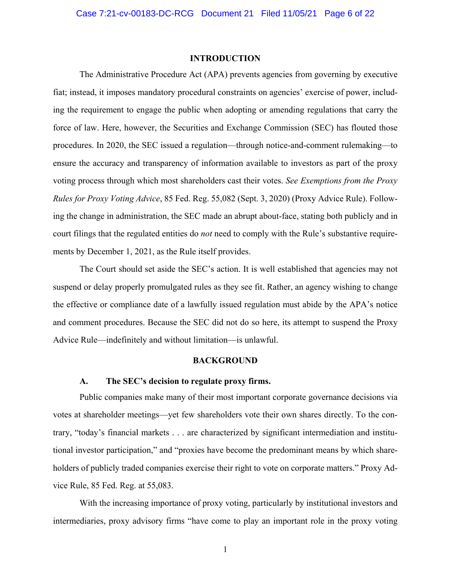#### **INTRODUCTION**

The Administrative Procedure Act (APA) prevents agencies from governing by executive fiat; instead, it imposes mandatory procedural constraints on agencies' exercise of power, including the requirement to engage the public when adopting or amending regulations that carry the force of law. Here, however, the Securities and Exchange Commission (SEC) has flouted those procedures. In 2020, the SEC issued a regulation—through notice-and-comment rulemaking—to ensure the accuracy and transparency of information available to investors as part of the proxy voting process through which most shareholders cast their votes. *See Exemptions from the Proxy Rules for Proxy Voting Advice*, 85 Fed. Reg. 55,082 (Sept. 3, 2020) (Proxy Advice Rule). Following the change in administration, the SEC made an abrupt about-face, stating both publicly and in court filings that the regulated entities do *not* need to comply with the Rule's substantive requirements by December 1, 2021, as the Rule itself provides.

The Court should set aside the SEC's action. It is well established that agencies may not suspend or delay properly promulgated rules as they see fit. Rather, an agency wishing to change the effective or compliance date of a lawfully issued regulation must abide by the APA's notice and comment procedures. Because the SEC did not do so here, its attempt to suspend the Proxy Advice Rule—indefinitely and without limitation—is unlawful.

#### **BACKGROUND**

#### **A. The SEC's decision to regulate proxy firms.**

Public companies make many of their most important corporate governance decisions via votes at shareholder meetings—yet few shareholders vote their own shares directly. To the contrary, "today's financial markets . . . are characterized by significant intermediation and institutional investor participation," and "proxies have become the predominant means by which shareholders of publicly traded companies exercise their right to vote on corporate matters." Proxy Advice Rule, 85 Fed. Reg. at 55,083.

With the increasing importance of proxy voting, particularly by institutional investors and intermediaries, proxy advisory firms "have come to play an important role in the proxy voting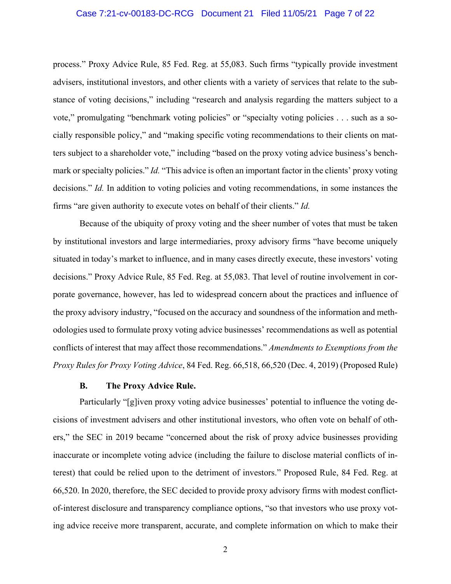#### Case 7:21-cv-00183-DC-RCG Document 21 Filed 11/05/21 Page 7 of 22

process." Proxy Advice Rule, 85 Fed. Reg. at 55,083. Such firms "typically provide investment advisers, institutional investors, and other clients with a variety of services that relate to the substance of voting decisions," including "research and analysis regarding the matters subject to a vote," promulgating "benchmark voting policies" or "specialty voting policies . . . such as a socially responsible policy," and "making specific voting recommendations to their clients on matters subject to a shareholder vote," including "based on the proxy voting advice business's benchmark or specialty policies." *Id.* "This advice is often an important factor in the clients' proxy voting decisions." *Id.* In addition to voting policies and voting recommendations, in some instances the firms "are given authority to execute votes on behalf of their clients." *Id.*

Because of the ubiquity of proxy voting and the sheer number of votes that must be taken by institutional investors and large intermediaries, proxy advisory firms "have become uniquely situated in today's market to influence, and in many cases directly execute, these investors' voting decisions." Proxy Advice Rule, 85 Fed. Reg. at 55,083. That level of routine involvement in corporate governance, however, has led to widespread concern about the practices and influence of the proxy advisory industry, "focused on the accuracy and soundness of the information and methodologies used to formulate proxy voting advice businesses' recommendations as well as potential conflicts of interest that may affect those recommendations." *Amendments to Exemptions from the Proxy Rules for Proxy Voting Advice*, 84 Fed. Reg. 66,518, 66,520 (Dec. 4, 2019) (Proposed Rule)

#### **B. The Proxy Advice Rule.**

Particularly "[g]iven proxy voting advice businesses' potential to influence the voting decisions of investment advisers and other institutional investors, who often vote on behalf of others," the SEC in 2019 became "concerned about the risk of proxy advice businesses providing inaccurate or incomplete voting advice (including the failure to disclose material conflicts of interest) that could be relied upon to the detriment of investors." Proposed Rule, 84 Fed. Reg. at 66,520. In 2020, therefore, the SEC decided to provide proxy advisory firms with modest conflictof-interest disclosure and transparency compliance options, "so that investors who use proxy voting advice receive more transparent, accurate, and complete information on which to make their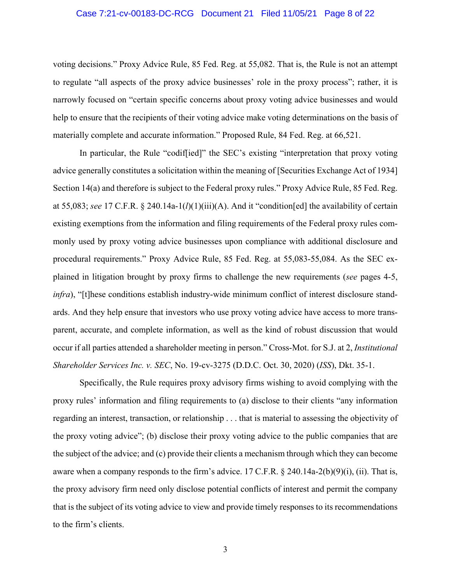#### Case 7:21-cv-00183-DC-RCG Document 21 Filed 11/05/21 Page 8 of 22

voting decisions." Proxy Advice Rule, 85 Fed. Reg. at 55,082. That is, the Rule is not an attempt to regulate "all aspects of the proxy advice businesses' role in the proxy process"; rather, it is narrowly focused on "certain specific concerns about proxy voting advice businesses and would help to ensure that the recipients of their voting advice make voting determinations on the basis of materially complete and accurate information." Proposed Rule, 84 Fed. Reg. at 66,521.

In particular, the Rule "codiffied]" the SEC's existing "interpretation that proxy voting advice generally constitutes a solicitation within the meaning of [Securities Exchange Act of 1934] Section 14(a) and therefore is subject to the Federal proxy rules." Proxy Advice Rule, 85 Fed. Reg. at 55,083; *see* 17 C.F.R. § 240.14a-1(*l*)(1)(iii)(A). And it "condition[ed] the availability of certain existing exemptions from the information and filing requirements of the Federal proxy rules commonly used by proxy voting advice businesses upon compliance with additional disclosure and procedural requirements." Proxy Advice Rule, 85 Fed. Reg. at 55,083-55,084. As the SEC explained in litigation brought by proxy firms to challenge the new requirements (*see* pages 4-5, *infra*), "[t]hese conditions establish industry-wide minimum conflict of interest disclosure standards. And they help ensure that investors who use proxy voting advice have access to more transparent, accurate, and complete information, as well as the kind of robust discussion that would occur if all parties attended a shareholder meeting in person." Cross-Mot. for S.J. at 2, *Institutional Shareholder Services Inc. v. SEC*, No. 19-cv-3275 (D.D.C. Oct. 30, 2020) (*ISS*), Dkt. 35-1.

Specifically, the Rule requires proxy advisory firms wishing to avoid complying with the proxy rules' information and filing requirements to (a) disclose to their clients "any information regarding an interest, transaction, or relationship . . . that is material to assessing the objectivity of the proxy voting advice"; (b) disclose their proxy voting advice to the public companies that are the subject of the advice; and (c) provide their clients a mechanism through which they can become aware when a company responds to the firm's advice. 17 C.F.R.  $\S$  240.14a-2(b)(9)(i), (ii). That is, the proxy advisory firm need only disclose potential conflicts of interest and permit the company that is the subject of its voting advice to view and provide timely responses to its recommendations to the firm's clients.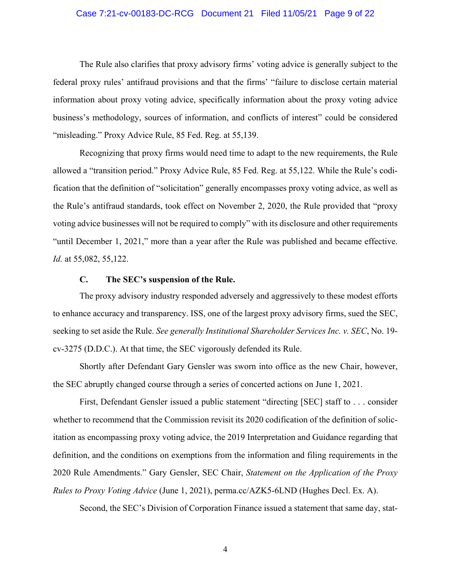#### Case 7:21-cv-00183-DC-RCG Document 21 Filed 11/05/21 Page 9 of 22

The Rule also clarifies that proxy advisory firms' voting advice is generally subject to the federal proxy rules' antifraud provisions and that the firms' "failure to disclose certain material information about proxy voting advice, specifically information about the proxy voting advice business's methodology, sources of information, and conflicts of interest" could be considered "misleading." Proxy Advice Rule, 85 Fed. Reg. at 55,139.

Recognizing that proxy firms would need time to adapt to the new requirements, the Rule allowed a "transition period." Proxy Advice Rule, 85 Fed. Reg. at 55,122. While the Rule's codification that the definition of "solicitation" generally encompasses proxy voting advice, as well as the Rule's antifraud standards, took effect on November 2, 2020, the Rule provided that "proxy voting advice businesses will not be required to comply" with its disclosure and other requirements "until December 1, 2021," more than a year after the Rule was published and became effective. *Id.* at 55,082, 55,122.

#### **C. The SEC's suspension of the Rule.**

The proxy advisory industry responded adversely and aggressively to these modest efforts to enhance accuracy and transparency. ISS, one of the largest proxy advisory firms, sued the SEC, seeking to set aside the Rule. *See generally Institutional Shareholder Services Inc. v. SEC*, No. 19 cv-3275 (D.D.C.). At that time, the SEC vigorously defended its Rule.

Shortly after Defendant Gary Gensler was sworn into office as the new Chair, however, the SEC abruptly changed course through a series of concerted actions on June 1, 2021.

First, Defendant Gensler issued a public statement "directing [SEC] staff to . . . consider whether to recommend that the Commission revisit its 2020 codification of the definition of solicitation as encompassing proxy voting advice, the 2019 Interpretation and Guidance regarding that definition, and the conditions on exemptions from the information and filing requirements in the 2020 Rule Amendments." Gary Gensler, SEC Chair, *Statement on the Application of the Proxy Rules to Proxy Voting Advice* (June 1, 2021), perma.cc/AZK5-6LND (Hughes Decl. Ex. A).

Second, the SEC's Division of Corporation Finance issued a statement that same day, stat-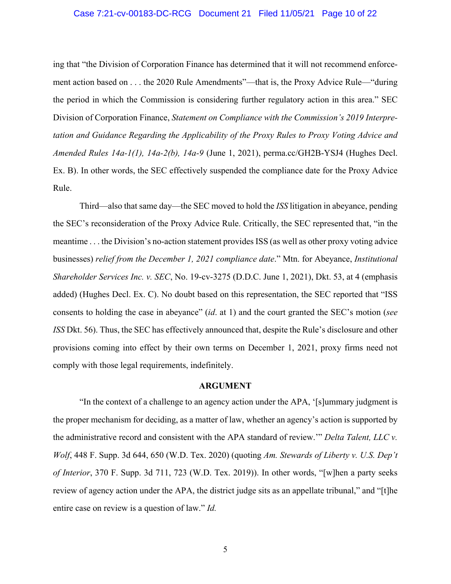#### Case 7:21-cv-00183-DC-RCG Document 21 Filed 11/05/21 Page 10 of 22

ing that "the Division of Corporation Finance has determined that it will not recommend enforcement action based on . . . the 2020 Rule Amendments"—that is, the Proxy Advice Rule—"during the period in which the Commission is considering further regulatory action in this area." SEC Division of Corporation Finance, *Statement on Compliance with the Commission's 2019 Interpretation and Guidance Regarding the Applicability of the Proxy Rules to Proxy Voting Advice and Amended Rules 14a-1(1), 14a-2(b), 14a-9* (June 1, 2021), perma.cc/GH2B-YSJ4 (Hughes Decl. Ex. B). In other words, the SEC effectively suspended the compliance date for the Proxy Advice Rule.

Third—also that same day—the SEC moved to hold the *ISS* litigation in abeyance, pending the SEC's reconsideration of the Proxy Advice Rule. Critically, the SEC represented that, "in the meantime . . . the Division's no-action statement provides ISS (as well as other proxy voting advice businesses) *relief from the December 1, 2021 compliance date*." Mtn. for Abeyance, *Institutional Shareholder Services Inc. v. SEC*, No. 19-cv-3275 (D.D.C. June 1, 2021), Dkt. 53, at 4 (emphasis added) (Hughes Decl. Ex. C). No doubt based on this representation, the SEC reported that "ISS consents to holding the case in abeyance" (*id*. at 1) and the court granted the SEC's motion (*see ISS* Dkt. 56). Thus, the SEC has effectively announced that, despite the Rule's disclosure and other provisions coming into effect by their own terms on December 1, 2021, proxy firms need not comply with those legal requirements, indefinitely.

#### **ARGUMENT**

"In the context of a challenge to an agency action under the APA, '[s]ummary judgment is the proper mechanism for deciding, as a matter of law, whether an agency's action is supported by the administrative record and consistent with the APA standard of review.'" *Delta Talent, LLC v. Wolf*, 448 F. Supp. 3d 644, 650 (W.D. Tex. 2020) (quoting *Am. Stewards of Liberty v. U.S. Dep't of Interior*, 370 F. Supp. 3d 711, 723 (W.D. Tex. 2019)). In other words, "[w]hen a party seeks review of agency action under the APA, the district judge sits as an appellate tribunal," and "[t]he entire case on review is a question of law." *Id.*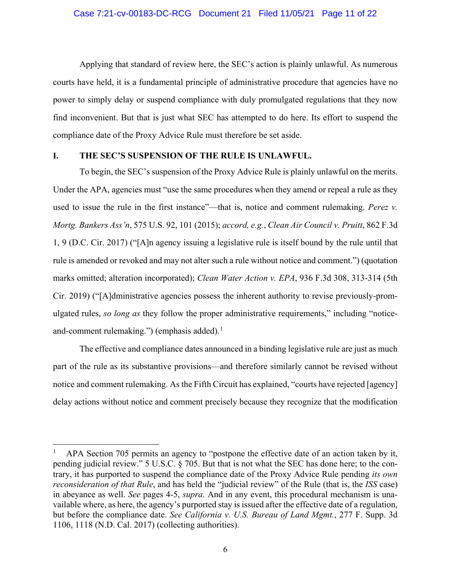Applying that standard of review here, the SEC's action is plainly unlawful. As numerous courts have held, it is a fundamental principle of administrative procedure that agencies have no power to simply delay or suspend compliance with duly promulgated regulations that they now find inconvenient. But that is just what SEC has attempted to do here. Its effort to suspend the compliance date of the Proxy Advice Rule must therefore be set aside.

#### **I. THE SEC'S SUSPENSION OF THE RULE IS UNLAWFUL.**

To begin, the SEC's suspension of the Proxy Advice Rule is plainly unlawful on the merits. Under the APA, agencies must "use the same procedures when they amend or repeal a rule as they used to issue the rule in the first instance"—that is, notice and comment rulemaking. *Perez v. Mortg. Bankers Ass'n*, 575 U.S. 92, 101 (2015); *accord, e.g.*, *Clean Air Council v. Pruitt*, 862 F.3d 1, 9 (D.C. Cir. 2017) ("[A]n agency issuing a legislative rule is itself bound by the rule until that rule is amended or revoked and may not alter such a rule without notice and comment.") (quotation marks omitted; alteration incorporated); *Clean Water Action v. EPA*, 936 F.3d 308, 313-314 (5th Cir. 2019) ("[A]dministrative agencies possess the inherent authority to revise previously-promulgated rules, *so long as* they follow the proper administrative requirements," including "noticeand-comment rulemaking.") (emphasis added). $<sup>1</sup>$ </sup>

The effective and compliance dates announced in a binding legislative rule are just as much part of the rule as its substantive provisions—and therefore similarly cannot be revised without notice and comment rulemaking. As the Fifth Circuit has explained, "courts have rejected [agency] delay actions without notice and comment precisely because they recognize that the modification

APA Section 705 permits an agency to "postpone the effective date of an action taken by it, pending judicial review." 5 U.S.C. § 705. But that is not what the SEC has done here; to the contrary, it has purported to suspend the compliance date of the Proxy Advice Rule pending *its own reconsideration of that Rule*, and has held the "judicial review" of the Rule (that is, the *ISS* case) in abeyance as well. *See* pages 4-5, *supra*. And in any event, this procedural mechanism is unavailable where, as here, the agency's purported stay is issued after the effective date of a regulation, but before the compliance date. *See California v. U.S. Bureau of Land Mgmt.*, 277 F. Supp. 3d 1106, 1118 (N.D. Cal. 2017) (collecting authorities).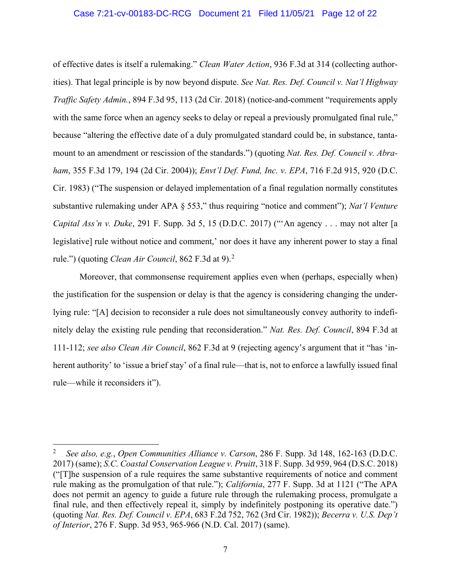#### Case 7:21-cv-00183-DC-RCG Document 21 Filed 11/05/21 Page 12 of 22

of effective dates is itself a rulemaking." *Clean Water Action*, 936 F.3d at 314 (collecting authorities). That legal principle is by now beyond dispute. *See Nat. Res. Def. Council v. Nat'l Highway Traffic Safety Admin.*, 894 F.3d 95, 113 (2d Cir. 2018) (notice-and-comment "requirements apply with the same force when an agency seeks to delay or repeal a previously promulgated final rule," because "altering the effective date of a duly promulgated standard could be, in substance, tantamount to an amendment or rescission of the standards.") (quoting *Nat. Res. Def. Council v. Abraham*, 355 F.3d 179, 194 (2d Cir. 2004)); *Envt'l Def. Fund, Inc. v. EPA*, 716 F.2d 915, 920 (D.C. Cir. 1983) ("The suspension or delayed implementation of a final regulation normally constitutes substantive rulemaking under APA § 553," thus requiring "notice and comment"); *Nat'l Venture Capital Ass'n v. Duke*, 291 F. Supp. 3d 5, 15 (D.D.C. 2017) ("'An agency . . . may not alter [a legislative] rule without notice and comment,' nor does it have any inherent power to stay a final rule.") (quoting *Clean Air Council*, 862 F.3d at 9).<sup>2</sup>

Moreover, that commonsense requirement applies even when (perhaps, especially when) the justification for the suspension or delay is that the agency is considering changing the underlying rule: "[A] decision to reconsider a rule does not simultaneously convey authority to indefinitely delay the existing rule pending that reconsideration." *Nat. Res. Def. Council*, 894 F.3d at 111-112; *see also Clean Air Council*, 862 F.3d at 9 (rejecting agency's argument that it "has 'inherent authority' to 'issue a brief stay' of a final rule—that is, not to enforce a lawfully issued final rule—while it reconsiders it").

 <sup>2</sup> *See also, e.g.*, *Open Communities Alliance v. Carson*, 286 F. Supp. 3d 148, 162-163 (D.D.C. 2017) (same); *S.C. Coastal Conservation League v. Pruitt*, 318 F. Supp. 3d 959, 964 (D.S.C. 2018) ("[T]he suspension of a rule requires the same substantive requirements of notice and comment rule making as the promulgation of that rule."); *California*, 277 F. Supp. 3d at 1121 ("The APA does not permit an agency to guide a future rule through the rulemaking process, promulgate a final rule, and then effectively repeal it, simply by indefinitely postponing its operative date.") (quoting *Nat. Res. Def. Council v. EPA*, 683 F.2d 752, 762 (3rd Cir. 1982)); *Becerra v. U.S. Dep't of Interior*, 276 F. Supp. 3d 953, 965-966 (N.D. Cal. 2017) (same).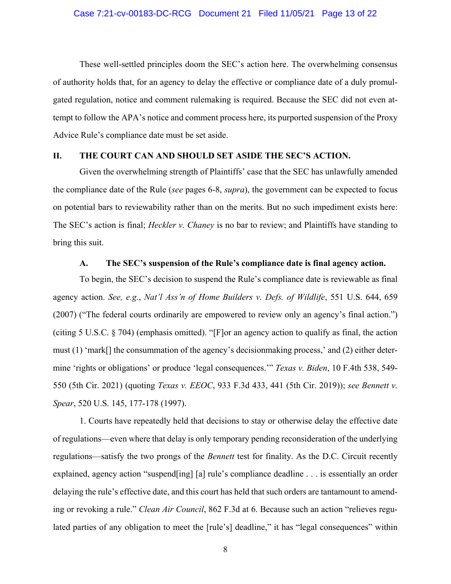These well-settled principles doom the SEC's action here. The overwhelming consensus of authority holds that, for an agency to delay the effective or compliance date of a duly promulgated regulation, notice and comment rulemaking is required. Because the SEC did not even attempt to follow the APA's notice and comment process here, its purported suspension of the Proxy Advice Rule's compliance date must be set aside.

#### **II. THE COURT CAN AND SHOULD SET ASIDE THE SEC'S ACTION.**

Given the overwhelming strength of Plaintiffs' case that the SEC has unlawfully amended the compliance date of the Rule (*see* pages 6-8, *supra*), the government can be expected to focus on potential bars to reviewability rather than on the merits. But no such impediment exists here: The SEC's action is final; *Heckler v. Chaney* is no bar to review; and Plaintiffs have standing to bring this suit.

#### **A. The SEC's suspension of the Rule's compliance date is final agency action.**

To begin, the SEC's decision to suspend the Rule's compliance date is reviewable as final agency action. *See, e.g.*, *Nat'l Ass'n of Home Builders v. Defs. of Wildlife*, 551 U.S. 644, 659 (2007) ("The federal courts ordinarily are empowered to review only an agency's final action.") (citing 5 U.S.C. § 704) (emphasis omitted). "[F]or an agency action to qualify as final, the action must (1) 'mark[] the consummation of the agency's decisionmaking process,' and (2) either determine 'rights or obligations' or produce 'legal consequences.'" *Texas v. Biden*, 10 F.4th 538, 549- 550 (5th Cir. 2021) (quoting *Texas v. EEOC*, 933 F.3d 433, 441 (5th Cir. 2019)); *see Bennett v. Spear*, 520 U.S. 145, 177-178 (1997).

1. Courts have repeatedly held that decisions to stay or otherwise delay the effective date of regulations—even where that delay is only temporary pending reconsideration of the underlying regulations—satisfy the two prongs of the *Bennett* test for finality. As the D.C. Circuit recently explained, agency action "suspend[ing] [a] rule's compliance deadline . . . is essentially an order delaying the rule's effective date, and this court has held that such orders are tantamount to amending or revoking a rule." *Clean Air Council*, 862 F.3d at 6. Because such an action "relieves regulated parties of any obligation to meet the [rule's] deadline," it has "legal consequences" within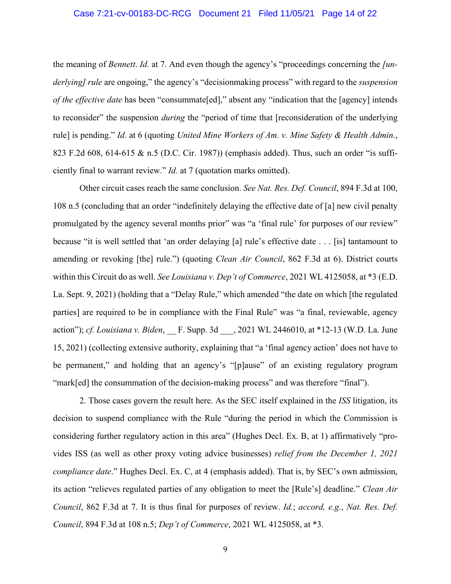#### Case 7:21-cv-00183-DC-RCG Document 21 Filed 11/05/21 Page 14 of 22

the meaning of *Bennett*. *Id.* at 7. And even though the agency's "proceedings concerning the *[underlying] rule* are ongoing," the agency's "decisionmaking process" with regard to the *suspension of the effective date* has been "consummate[ed]," absent any "indication that the [agency] intends to reconsider" the suspension *during* the "period of time that [reconsideration of the underlying rule] is pending." *Id.* at 6 (quoting *United Mine Workers of Am. v. Mine Safety & Health Admin.*, 823 F.2d 608, 614-615 & n.5 (D.C. Cir. 1987)) (emphasis added). Thus, such an order "is sufficiently final to warrant review." *Id.* at 7 (quotation marks omitted).

Other circuit cases reach the same conclusion. *See Nat. Res. Def. Council*, 894 F.3d at 100, 108 n.5 (concluding that an order "indefinitely delaying the effective date of [a] new civil penalty promulgated by the agency several months prior" was "a 'final rule' for purposes of our review" because "it is well settled that 'an order delaying [a] rule's effective date . . . [is] tantamount to amending or revoking [the] rule.") (quoting *Clean Air Council*, 862 F.3d at 6). District courts within this Circuit do as well. *See Louisiana v. Dep't of Commerce*, 2021 WL 4125058, at \*3 (E.D. La. Sept. 9, 2021) (holding that a "Delay Rule," which amended "the date on which [the regulated parties] are required to be in compliance with the Final Rule" was "a final, reviewable, agency action"); *cf. Louisiana v. Biden*, F. Supp. 3d ... 2021 WL 2446010, at \*12-13 (W.D. La. June 15, 2021) (collecting extensive authority, explaining that "a 'final agency action' does not have to be permanent," and holding that an agency's "[p]ause" of an existing regulatory program "mark[ed] the consummation of the decision-making process" and was therefore "final").

2. Those cases govern the result here. As the SEC itself explained in the *ISS* litigation, its decision to suspend compliance with the Rule "during the period in which the Commission is considering further regulatory action in this area" (Hughes Decl. Ex. B, at 1) affirmatively "provides ISS (as well as other proxy voting advice businesses) *relief from the December 1, 2021 compliance date*." Hughes Decl. Ex. C, at 4 (emphasis added). That is, by SEC's own admission, its action "relieves regulated parties of any obligation to meet the [Rule's] deadline." *Clean Air Council*, 862 F.3d at 7. It is thus final for purposes of review. *Id.*; *accord, e.g.*, *Nat. Res. Def. Council*, 894 F.3d at 108 n.5; *Dep't of Commerce*, 2021 WL 4125058, at \*3.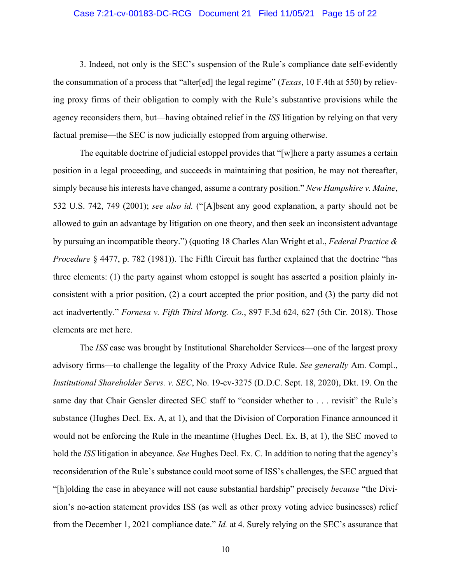#### Case 7:21-cv-00183-DC-RCG Document 21 Filed 11/05/21 Page 15 of 22

3. Indeed, not only is the SEC's suspension of the Rule's compliance date self-evidently the consummation of a process that "alter[ed] the legal regime" (*Texas*, 10 F.4th at 550) by relieving proxy firms of their obligation to comply with the Rule's substantive provisions while the agency reconsiders them, but—having obtained relief in the *ISS* litigation by relying on that very factual premise—the SEC is now judicially estopped from arguing otherwise.

The equitable doctrine of judicial estoppel provides that "[w]here a party assumes a certain position in a legal proceeding, and succeeds in maintaining that position, he may not thereafter, simply because his interests have changed, assume a contrary position." *New Hampshire v. Maine*, 532 U.S. 742, 749 (2001); *see also id.* ("[A]bsent any good explanation, a party should not be allowed to gain an advantage by litigation on one theory, and then seek an inconsistent advantage by pursuing an incompatible theory.") (quoting 18 Charles Alan Wright et al., *Federal Practice & Procedure* § 4477, p. 782 (1981)). The Fifth Circuit has further explained that the doctrine "has three elements: (1) the party against whom estoppel is sought has asserted a position plainly inconsistent with a prior position, (2) a court accepted the prior position, and (3) the party did not act inadvertently." *Fornesa v. Fifth Third Mortg. Co.*, 897 F.3d 624, 627 (5th Cir. 2018). Those elements are met here.

The *ISS* case was brought by Institutional Shareholder Services—one of the largest proxy advisory firms—to challenge the legality of the Proxy Advice Rule. *See generally* Am. Compl., *Institutional Shareholder Servs. v. SEC*, No. 19-cv-3275 (D.D.C. Sept. 18, 2020), Dkt. 19. On the same day that Chair Gensler directed SEC staff to "consider whether to . . . revisit" the Rule's substance (Hughes Decl. Ex. A, at 1), and that the Division of Corporation Finance announced it would not be enforcing the Rule in the meantime (Hughes Decl. Ex. B, at 1), the SEC moved to hold the *ISS* litigation in abeyance. *See* Hughes Decl. Ex. C. In addition to noting that the agency's reconsideration of the Rule's substance could moot some of ISS's challenges, the SEC argued that "[h]olding the case in abeyance will not cause substantial hardship" precisely *because* "the Division's no-action statement provides ISS (as well as other proxy voting advice businesses) relief from the December 1, 2021 compliance date." *Id.* at 4. Surely relying on the SEC's assurance that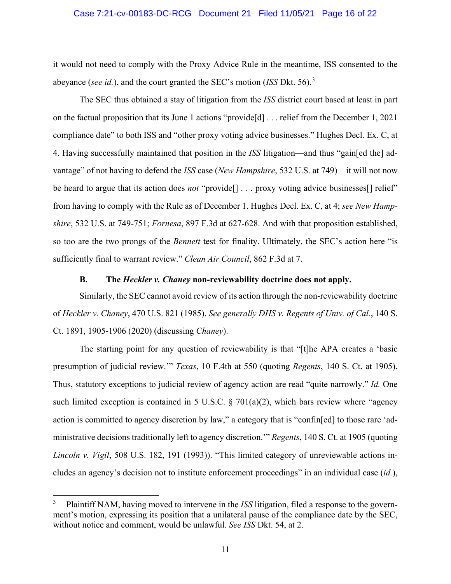#### Case 7:21-cv-00183-DC-RCG Document 21 Filed 11/05/21 Page 16 of 22

it would not need to comply with the Proxy Advice Rule in the meantime, ISS consented to the abeyance (*see id.*), and the court granted the SEC's motion (*ISS* Dkt. 56).<sup>3</sup>

The SEC thus obtained a stay of litigation from the *ISS* district court based at least in part on the factual proposition that its June 1 actions "provide[d] . . . relief from the December 1, 2021 compliance date" to both ISS and "other proxy voting advice businesses." Hughes Decl. Ex. C, at 4. Having successfully maintained that position in the *ISS* litigation—and thus "gain[ed the] advantage" of not having to defend the *ISS* case (*New Hampshire*, 532 U.S. at 749)—it will not now be heard to argue that its action does *not* "provide[] . . . proxy voting advice businesses[] relief" from having to comply with the Rule as of December 1. Hughes Decl. Ex. C, at 4; *see New Hampshire*, 532 U.S. at 749-751; *Fornesa*, 897 F.3d at 627-628. And with that proposition established, so too are the two prongs of the *Bennett* test for finality. Ultimately, the SEC's action here "is sufficiently final to warrant review." *Clean Air Council*, 862 F.3d at 7.

#### **B. The** *Heckler v. Chaney* **non-reviewability doctrine does not apply.**

Similarly, the SEC cannot avoid review of its action through the non-reviewability doctrine of *Heckler v. Chaney*, 470 U.S. 821 (1985). *See generally DHS v. Regents of Univ. of Cal.*, 140 S. Ct. 1891, 1905-1906 (2020) (discussing *Chaney*).

The starting point for any question of reviewability is that "[t]he APA creates a 'basic presumption of judicial review.'" *Texas*, 10 F.4th at 550 (quoting *Regents*, 140 S. Ct. at 1905). Thus, statutory exceptions to judicial review of agency action are read "quite narrowly." *Id.* One such limited exception is contained in 5 U.S.C.  $\S$  701(a)(2), which bars review where "agency action is committed to agency discretion by law," a category that is "confin[ed] to those rare 'administrative decisions traditionally left to agency discretion.'" *Regents*, 140 S. Ct. at 1905 (quoting *Lincoln v. Vigil*, 508 U.S. 182, 191 (1993)). "This limited category of unreviewable actions includes an agency's decision not to institute enforcement proceedings" in an individual case (*id.*),

 <sup>3</sup> Plaintiff NAM, having moved to intervene in the *ISS* litigation, filed a response to the government's motion, expressing its position that a unilateral pause of the compliance date by the SEC, without notice and comment, would be unlawful. *See ISS* Dkt. 54, at 2.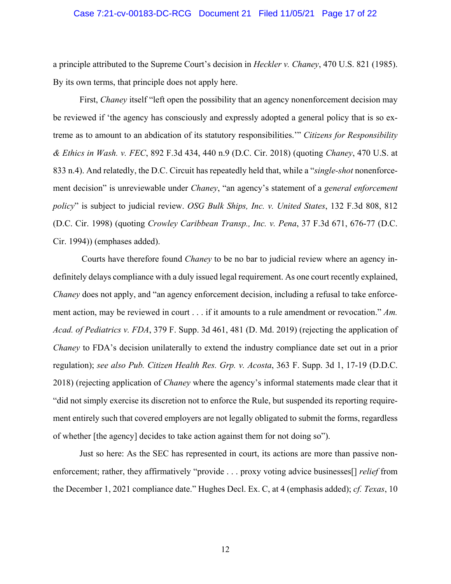#### Case 7:21-cv-00183-DC-RCG Document 21 Filed 11/05/21 Page 17 of 22

a principle attributed to the Supreme Court's decision in *Heckler v. Chaney*, 470 U.S. 821 (1985). By its own terms, that principle does not apply here.

First, *Chaney* itself "left open the possibility that an agency nonenforcement decision may be reviewed if 'the agency has consciously and expressly adopted a general policy that is so extreme as to amount to an abdication of its statutory responsibilities.'" *Citizens for Responsibility & Ethics in Wash. v. FEC*, 892 F.3d 434, 440 n.9 (D.C. Cir. 2018) (quoting *Chaney*, 470 U.S. at 833 n.4). And relatedly, the D.C. Circuit has repeatedly held that, while a "*single-shot* nonenforcement decision" is unreviewable under *Chaney*, "an agency's statement of a *general enforcement policy*" is subject to judicial review. *OSG Bulk Ships, Inc. v. United States*, 132 F.3d 808, 812 (D.C. Cir. 1998) (quoting *Crowley Caribbean Transp., Inc. v. Pena*, 37 F.3d 671, 676-77 (D.C. Cir. 1994)) (emphases added).

Courts have therefore found *Chaney* to be no bar to judicial review where an agency indefinitely delays compliance with a duly issued legal requirement. As one court recently explained, *Chaney* does not apply, and "an agency enforcement decision, including a refusal to take enforcement action, may be reviewed in court . . . if it amounts to a rule amendment or revocation." *Am. Acad. of Pediatrics v. FDA*, 379 F. Supp. 3d 461, 481 (D. Md. 2019) (rejecting the application of *Chaney* to FDA's decision unilaterally to extend the industry compliance date set out in a prior regulation); *see also Pub. Citizen Health Res. Grp. v. Acosta*, 363 F. Supp. 3d 1, 17-19 (D.D.C. 2018) (rejecting application of *Chaney* where the agency's informal statements made clear that it "did not simply exercise its discretion not to enforce the Rule, but suspended its reporting requirement entirely such that covered employers are not legally obligated to submit the forms, regardless of whether [the agency] decides to take action against them for not doing so").

Just so here: As the SEC has represented in court, its actions are more than passive nonenforcement; rather, they affirmatively "provide . . . proxy voting advice businesses[] *relief* from the December 1, 2021 compliance date." Hughes Decl. Ex. C, at 4 (emphasis added); *cf. Texas*, 10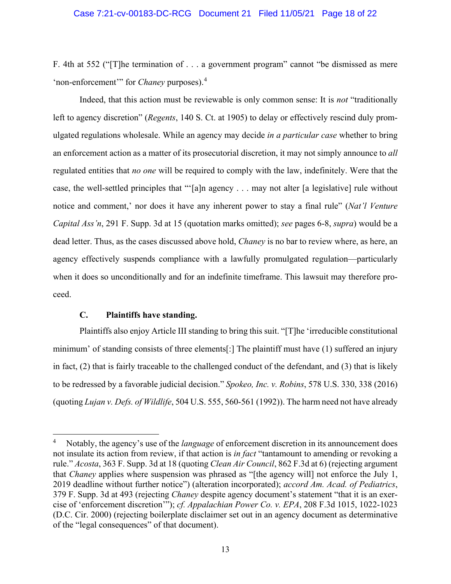#### Case 7:21-cv-00183-DC-RCG Document 21 Filed 11/05/21 Page 18 of 22

F. 4th at 552 ("[T]he termination of . . . a government program" cannot "be dismissed as mere 'non-enforcement'" for *Chaney* purposes).<sup>4</sup>

Indeed, that this action must be reviewable is only common sense: It is *not* "traditionally left to agency discretion" (*Regents*, 140 S. Ct. at 1905) to delay or effectively rescind duly promulgated regulations wholesale. While an agency may decide *in a particular case* whether to bring an enforcement action as a matter of its prosecutorial discretion, it may not simply announce to *all*  regulated entities that *no one* will be required to comply with the law, indefinitely. Were that the case, the well-settled principles that "'[a]n agency . . . may not alter [a legislative] rule without notice and comment,' nor does it have any inherent power to stay a final rule" (*Nat'l Venture Capital Ass'n*, 291 F. Supp. 3d at 15 (quotation marks omitted); *see* pages 6-8, *supra*) would be a dead letter. Thus, as the cases discussed above hold, *Chaney* is no bar to review where, as here, an agency effectively suspends compliance with a lawfully promulgated regulation—particularly when it does so unconditionally and for an indefinite timeframe. This lawsuit may therefore proceed.

#### **C. Plaintiffs have standing.**

Plaintiffs also enjoy Article III standing to bring this suit. "[T]he 'irreducible constitutional minimum' of standing consists of three elements[:] The plaintiff must have (1) suffered an injury in fact, (2) that is fairly traceable to the challenged conduct of the defendant, and (3) that is likely to be redressed by a favorable judicial decision." *Spokeo, Inc. v. Robins*, 578 U.S. 330, 338 (2016) (quoting *Lujan v. Defs. of Wildlife*, 504 U.S. 555, 560-561 (1992)). The harm need not have already

 <sup>4</sup> Notably, the agency's use of the *language* of enforcement discretion in its announcement does not insulate its action from review, if that action is *in fact* "tantamount to amending or revoking a rule." *Acosta*, 363 F. Supp. 3d at 18 (quoting *Clean Air Council*, 862 F.3d at 6) (rejecting argument that *Chaney* applies where suspension was phrased as "[the agency will] not enforce the July 1, 2019 deadline without further notice") (alteration incorporated); *accord Am. Acad. of Pediatrics*, 379 F. Supp. 3d at 493 (rejecting *Chaney* despite agency document's statement "that it is an exercise of 'enforcement discretion'"); *cf. Appalachian Power Co. v. EPA*, 208 F.3d 1015, 1022-1023 (D.C. Cir. 2000) (rejecting boilerplate disclaimer set out in an agency document as determinative of the "legal consequences" of that document).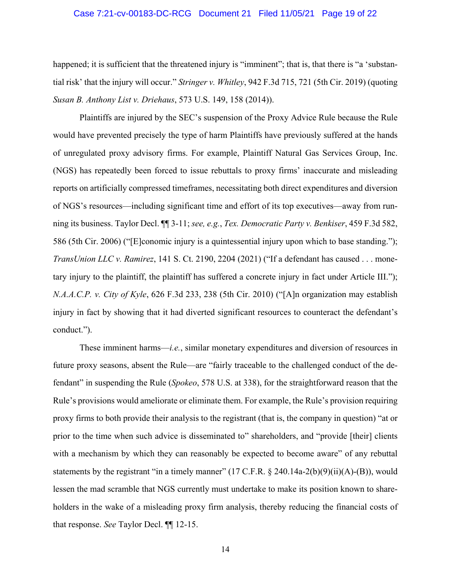#### Case 7:21-cv-00183-DC-RCG Document 21 Filed 11/05/21 Page 19 of 22

happened; it is sufficient that the threatened injury is "imminent"; that is, that there is "a 'substantial risk' that the injury will occur." *Stringer v. Whitley*, 942 F.3d 715, 721 (5th Cir. 2019) (quoting *Susan B. Anthony List v. Driehaus*, 573 U.S. 149, 158 (2014)).

Plaintiffs are injured by the SEC's suspension of the Proxy Advice Rule because the Rule would have prevented precisely the type of harm Plaintiffs have previously suffered at the hands of unregulated proxy advisory firms. For example, Plaintiff Natural Gas Services Group, Inc. (NGS) has repeatedly been forced to issue rebuttals to proxy firms' inaccurate and misleading reports on artificially compressed timeframes, necessitating both direct expenditures and diversion of NGS's resources—including significant time and effort of its top executives—away from running its business. Taylor Decl. ¶¶ 3-11; *see, e.g.*, *Tex. Democratic Party v. Benkiser*, 459 F.3d 582, 586 (5th Cir. 2006) ("[E]conomic injury is a quintessential injury upon which to base standing."); *TransUnion LLC v. Ramirez*, 141 S. Ct. 2190, 2204 (2021) ("If a defendant has caused . . . monetary injury to the plaintiff, the plaintiff has suffered a concrete injury in fact under Article III."); *N.A.A.C.P. v. City of Kyle*, 626 F.3d 233, 238 (5th Cir. 2010) ("[A]n organization may establish injury in fact by showing that it had diverted significant resources to counteract the defendant's conduct.").

These imminent harms—*i.e.*, similar monetary expenditures and diversion of resources in future proxy seasons, absent the Rule—are "fairly traceable to the challenged conduct of the defendant" in suspending the Rule (*Spokeo*, 578 U.S. at 338), for the straightforward reason that the Rule's provisions would ameliorate or eliminate them. For example, the Rule's provision requiring proxy firms to both provide their analysis to the registrant (that is, the company in question) "at or prior to the time when such advice is disseminated to" shareholders, and "provide [their] clients with a mechanism by which they can reasonably be expected to become aware" of any rebuttal statements by the registrant "in a timely manner" (17 C.F.R. § 240.14a-2(b)(9)(ii)(A)-(B)), would lessen the mad scramble that NGS currently must undertake to make its position known to shareholders in the wake of a misleading proxy firm analysis, thereby reducing the financial costs of that response. *See* Taylor Decl. ¶¶ 12-15.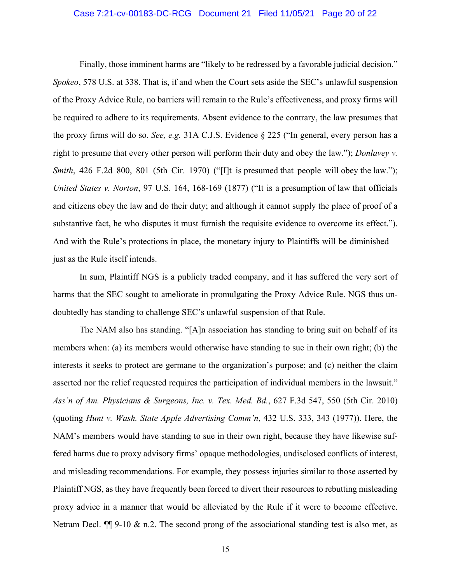#### Case 7:21-cv-00183-DC-RCG Document 21 Filed 11/05/21 Page 20 of 22

Finally, those imminent harms are "likely to be redressed by a favorable judicial decision." *Spokeo*, 578 U.S. at 338. That is, if and when the Court sets aside the SEC's unlawful suspension of the Proxy Advice Rule, no barriers will remain to the Rule's effectiveness, and proxy firms will be required to adhere to its requirements. Absent evidence to the contrary, the law presumes that the proxy firms will do so. *See, e.g.* 31A C.J.S. Evidence § 225 ("In general, every person has a right to presume that every other person will perform their duty and obey the law."); *Donlavey v. Smith*, 426 F.2d 800, 801 (5th Cir. 1970) ("[I]t is presumed that people will obey the law."); *United States v. Norton*, 97 U.S. 164, 168-169 (1877) ("It is a presumption of law that officials and citizens obey the law and do their duty; and although it cannot supply the place of proof of a substantive fact, he who disputes it must furnish the requisite evidence to overcome its effect."). And with the Rule's protections in place, the monetary injury to Plaintiffs will be diminished just as the Rule itself intends.

In sum, Plaintiff NGS is a publicly traded company, and it has suffered the very sort of harms that the SEC sought to ameliorate in promulgating the Proxy Advice Rule. NGS thus undoubtedly has standing to challenge SEC's unlawful suspension of that Rule.

The NAM also has standing. "[A]n association has standing to bring suit on behalf of its members when: (a) its members would otherwise have standing to sue in their own right; (b) the interests it seeks to protect are germane to the organization's purpose; and (c) neither the claim asserted nor the relief requested requires the participation of individual members in the lawsuit." *Ass'n of Am. Physicians & Surgeons, Inc. v. Tex. Med. Bd.*, 627 F.3d 547, 550 (5th Cir. 2010) (quoting *Hunt v. Wash. State Apple Advertising Comm'n*, 432 U.S. 333, 343 (1977)). Here, the NAM's members would have standing to sue in their own right, because they have likewise suffered harms due to proxy advisory firms' opaque methodologies, undisclosed conflicts of interest, and misleading recommendations. For example, they possess injuries similar to those asserted by Plaintiff NGS, as they have frequently been forced to divert their resources to rebutting misleading proxy advice in a manner that would be alleviated by the Rule if it were to become effective. Netram Decl.  $\P$  9-10 & n.2. The second prong of the associational standing test is also met, as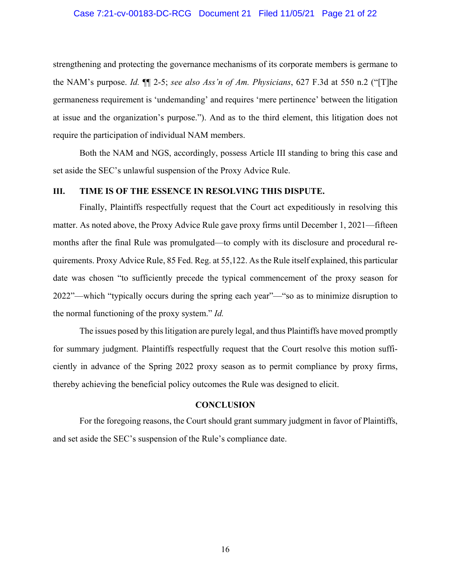#### Case 7:21-cv-00183-DC-RCG Document 21 Filed 11/05/21 Page 21 of 22

strengthening and protecting the governance mechanisms of its corporate members is germane to the NAM's purpose. *Id.* ¶¶ 2-5; *see also Ass'n of Am. Physicians*, 627 F.3d at 550 n.2 ("[T]he germaneness requirement is 'undemanding' and requires 'mere pertinence' between the litigation at issue and the organization's purpose."). And as to the third element, this litigation does not require the participation of individual NAM members.

Both the NAM and NGS, accordingly, possess Article III standing to bring this case and set aside the SEC's unlawful suspension of the Proxy Advice Rule.

#### **III. TIME IS OF THE ESSENCE IN RESOLVING THIS DISPUTE.**

Finally, Plaintiffs respectfully request that the Court act expeditiously in resolving this matter. As noted above, the Proxy Advice Rule gave proxy firms until December 1, 2021—fifteen months after the final Rule was promulgated—to comply with its disclosure and procedural requirements. Proxy Advice Rule, 85 Fed. Reg. at 55,122. As the Rule itself explained, this particular date was chosen "to sufficiently precede the typical commencement of the proxy season for 2022"—which "typically occurs during the spring each year"—"so as to minimize disruption to the normal functioning of the proxy system." *Id.*

The issues posed by this litigation are purely legal, and thus Plaintiffs have moved promptly for summary judgment. Plaintiffs respectfully request that the Court resolve this motion sufficiently in advance of the Spring 2022 proxy season as to permit compliance by proxy firms, thereby achieving the beneficial policy outcomes the Rule was designed to elicit.

#### **CONCLUSION**

For the foregoing reasons, the Court should grant summary judgment in favor of Plaintiffs, and set aside the SEC's suspension of the Rule's compliance date.